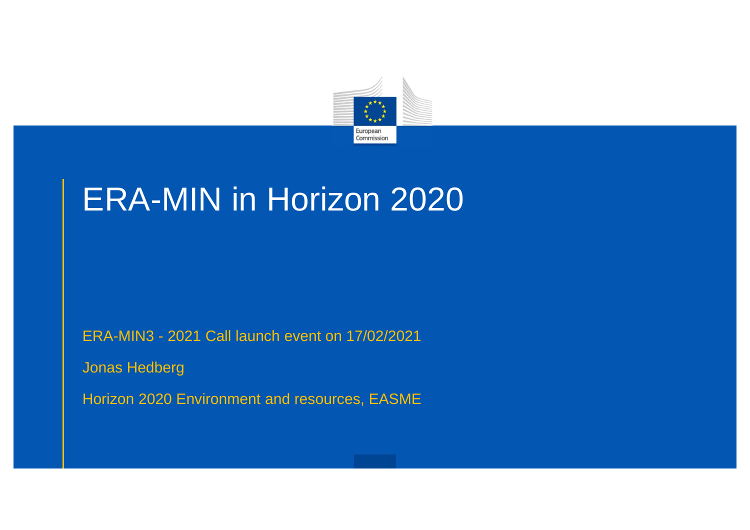

## ERA-MIN in Horizon 2020

ERA-MIN3 - 2021 Call launch event on 17/02/2021

Jonas Hedberg

Horizon 2020 Environment and resources, EASME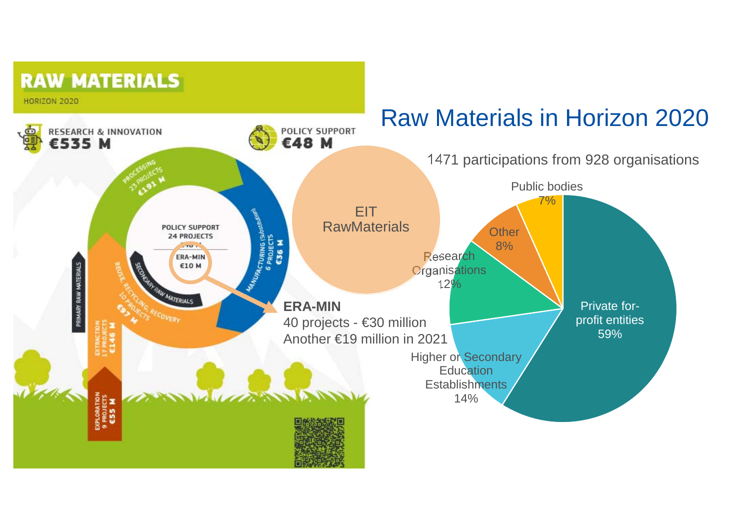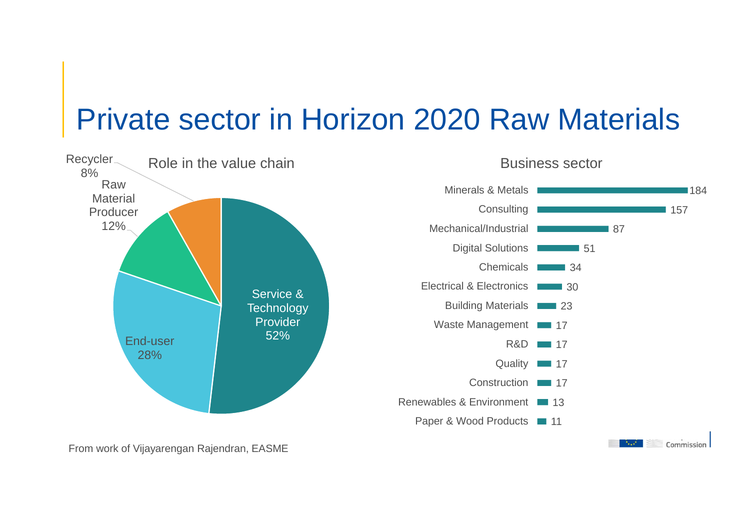### Private sector in Horizon 2020 Raw Materials



From work of Vijayarengan Rajendran, EASME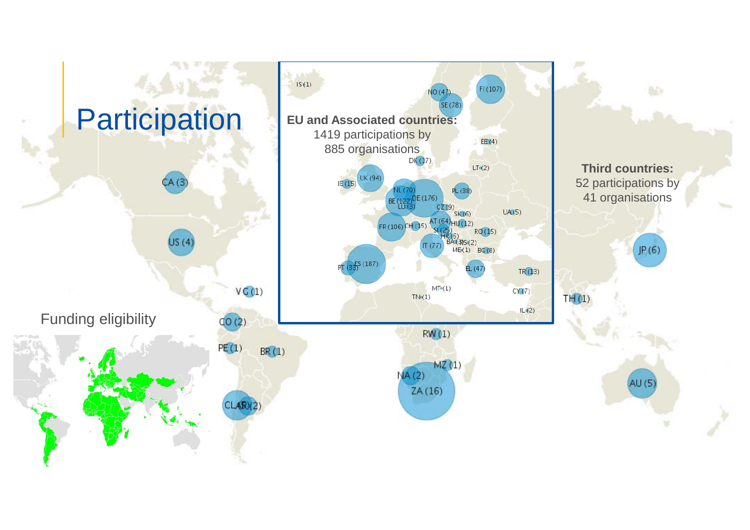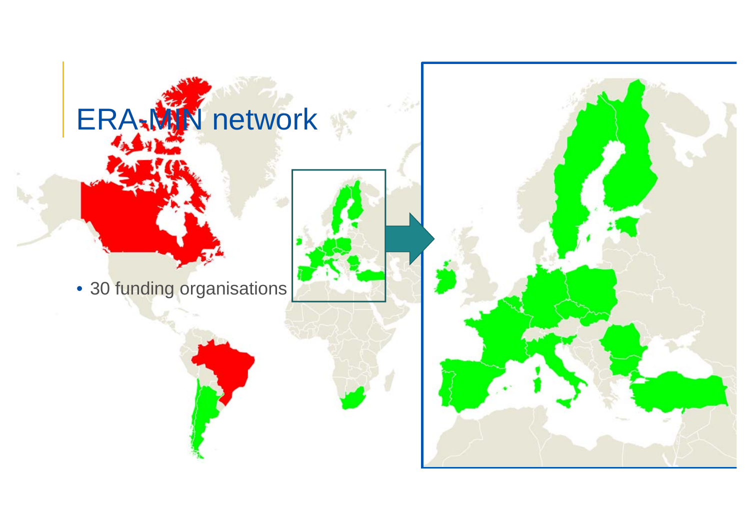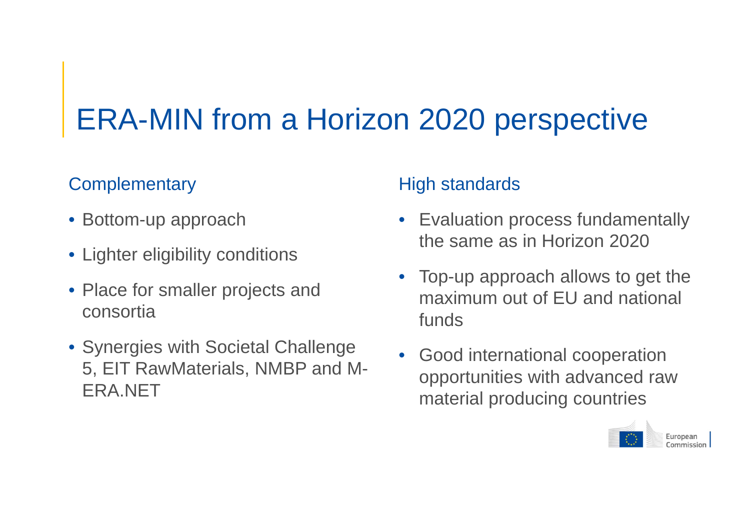# ERA-MIN from a Horizon 2020 perspective

#### **Complementary**

- Bottom-up approach
- Lighter eligibility conditions
- Place for smaller projects and consortia
- Synergies with Societal Challenge 5, EIT RawMaterials, NMBP and M-ERA.NET

#### High standards

- Evaluation process fundamentally the same as in Horizon 2020
- Top-up approach allows to get the maximum out of EU and national funds
- • Good international cooperation opportunities with advanced raw material producing countries

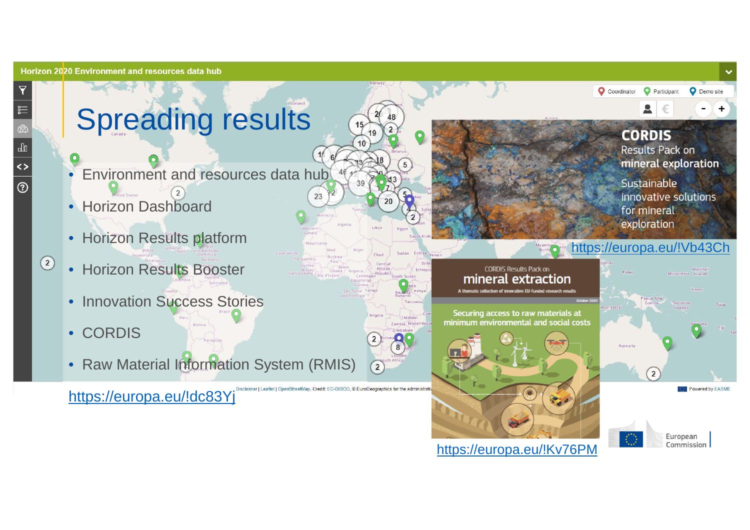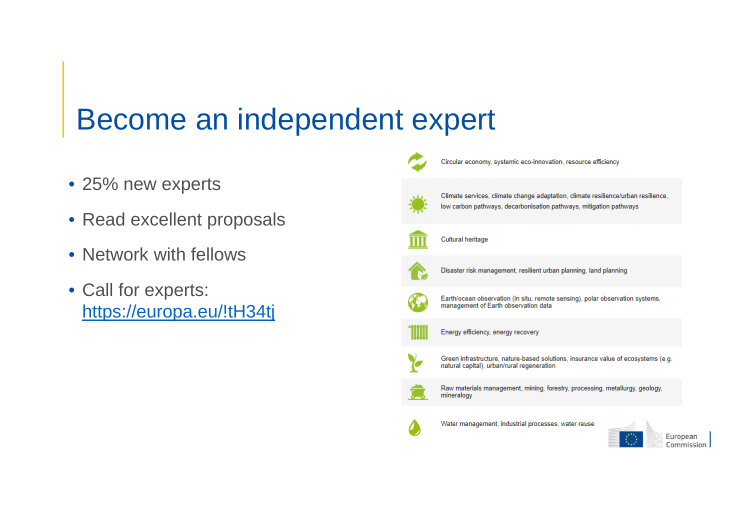### Become an independent expert

- 25% new experts
- Read excellent proposals
- Network with fellows
- Call for experts: https://europa.eu/!tH34tj

| Circular economy, systemic eco-innovation, resource efficiency                                                                                          |
|---------------------------------------------------------------------------------------------------------------------------------------------------------|
| Climate services, climate change adaptation, climate resilience/urban resilience,<br>low carbon pathways, decarbonisation pathways, mitigation pathways |
| Cultural heritage                                                                                                                                       |
| Disaster risk management, resilient urban planning, land planning                                                                                       |
| Earth/ocean observation (in situ, remote sensing), polar observation systems,<br>management of Earth observation data                                   |
| Energy efficiency, energy recovery                                                                                                                      |
| Green infrastructure, nature-based solutions, insurance value of ecosystems (e.g.<br>natural capital), urban/rural regeneration                         |
| Raw materials management, mining, forestry, processing, metallurgy, geology,<br>mineralogy                                                              |
| Water management, industrial processes, water reuse<br>European<br>Commission                                                                           |